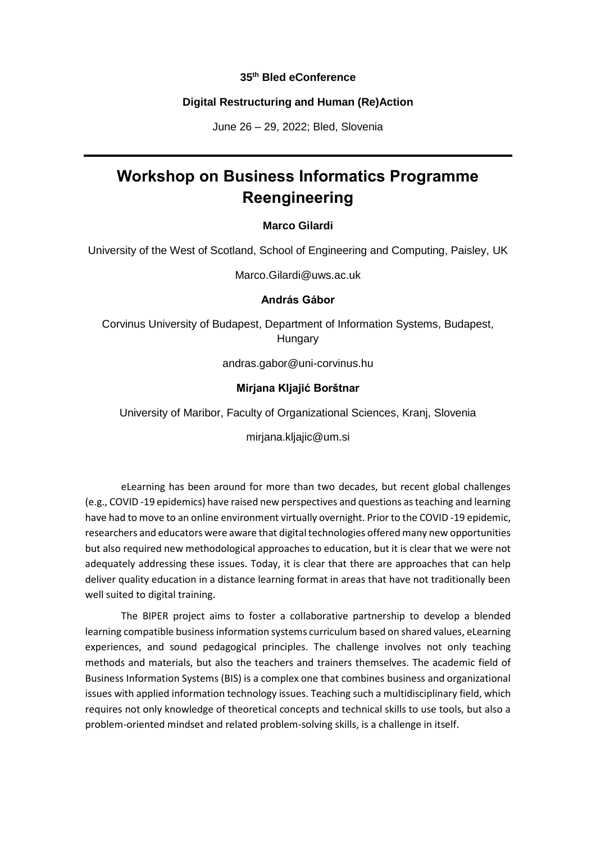# **35 th Bled eConference**

#### **Digital Restructuring and Human (Re)Action**

June 26 – 29, 2022; Bled, Slovenia

# **Workshop on Business Informatics Programme Reengineering**

#### **Marco Gilardi**

University of the West of Scotland, School of Engineering and Computing, Paisley, UK

Marco.Gilardi@uws.ac.uk

#### **András Gábor**

Corvinus University of Budapest, Department of Information Systems, Budapest, Hungary

andras.gabor@uni-corvinus.hu

## **Mirjana Kljajić Borštnar**

University of Maribor, Faculty of Organizational Sciences, Kranj, Slovenia

mirjana.kljajic@um.si

eLearning has been around for more than two decades, but recent global challenges (e.g., COVID -19 epidemics) have raised new perspectives and questions as teaching and learning have had to move to an online environment virtually overnight. Prior to the COVID -19 epidemic, researchers and educators were aware that digital technologies offered many new opportunities but also required new methodological approaches to education, but it is clear that we were not adequately addressing these issues. Today, it is clear that there are approaches that can help deliver quality education in a distance learning format in areas that have not traditionally been well suited to digital training.

The BIPER project aims to foster a collaborative partnership to develop a blended learning compatible business information systems curriculum based on shared values, eLearning experiences, and sound pedagogical principles. The challenge involves not only teaching methods and materials, but also the teachers and trainers themselves. The academic field of Business Information Systems (BIS) is a complex one that combines business and organizational issues with applied information technology issues. Teaching such a multidisciplinary field, which requires not only knowledge of theoretical concepts and technical skills to use tools, but also a problem-oriented mindset and related problem-solving skills, is a challenge in itself.